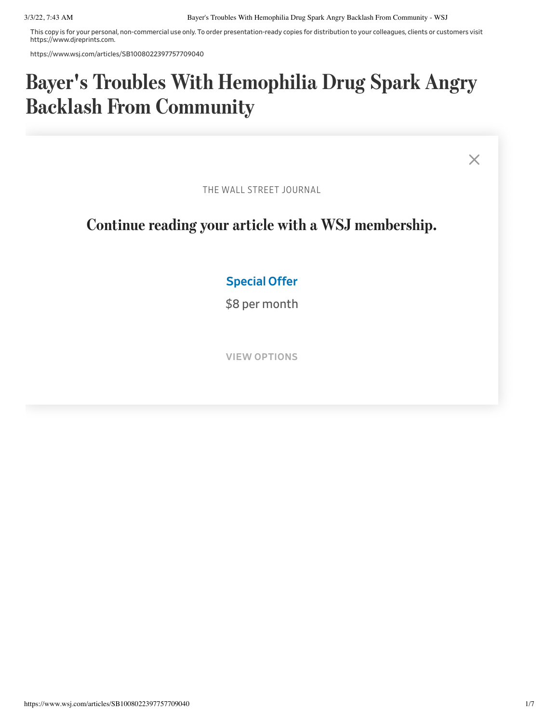This copy is for your personal, non-commercial use only. To order presentation-ready copies for distribution to your colleagues, clients or customers visit https://www.djreprints.com.

https://www.wsj.com/articles/SB1008022397757709040

## Bayer's Troubles With Hemophilia Drug Spark Angry Backlash From Community

 $\times$ 

THE WALL STREET JOURNAL

## Continue reading your article with a WSJ membership.

## **as a sponsorior. Organizers for**  $\overline{C}$ Special Offer

event. Instead, the group wanted Bayer to give a progress report on a series of  $\sim$  problems that that the worst shortages of the worst shortages of  $\sim$ \$8 per month

The reduce marks how much but in the small but in the small but in the small but in the small but in the small but in the small but in the small but in the small but in the small but in the small but in the small but in th VIEW OPTIONS